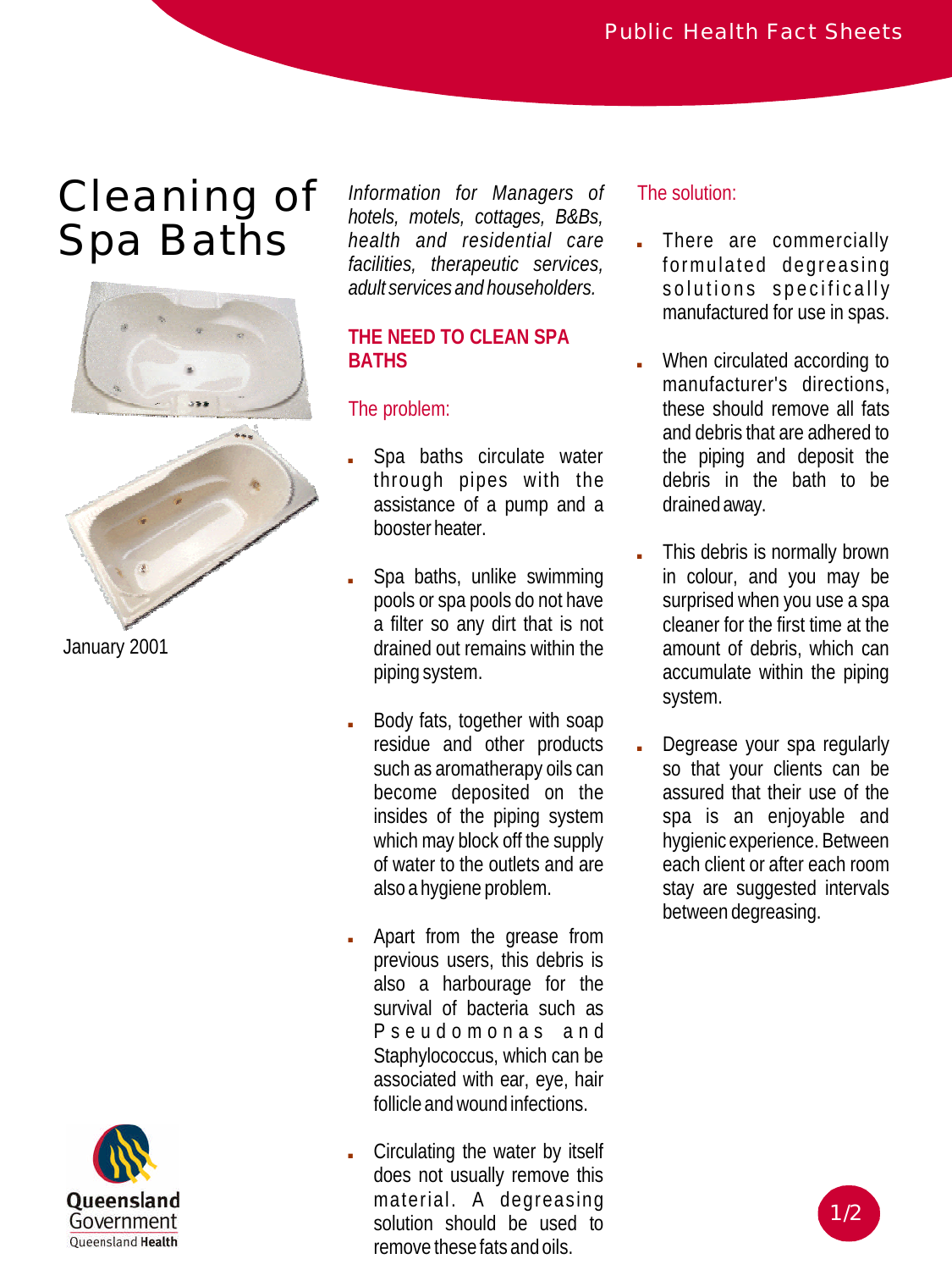# Cleaning of Spa Baths



Oueensland Government Queensland Health

*Information for Managers of hotels, motels, cottages, B&Bs, health and residential care facilities, therapeutic services, adult services and householders.*

## **THE NEED TO CLEAN SPA BATHS**

# The problem:

- , Spa baths circulate water through pipes with the assistance of a pump and a booster heater.
- , Spa baths, unlike swimming pools or spa pools do not have a filter so any dirt that is not drained out remains within the piping system.
- , Body fats, together with soap residue and other products such as aromatherapy oils can become deposited on the insides of the piping system which may block off the supply of water to the outlets and are also a hygiene problem.
- , Apart from the grease from previous users, this debris is also a harbourage for the survival of bacteria such as Pseudomona s and Staphylococcus, which can be associated with ear, eye, hair follicle andwound infections.
- , Circulating the water by itself does not usually remove this material. A degreasing solution should be used to remove these fats and oils.

# The solution:

- , There are commercially formulated degreasing solutions specifically manufactured for use in spas.
- , When circulated according to manufacturer's directions, these should remove all fats and debris that are adhered to the piping and deposit the debris in the bath to be drained away.
- , This debris is normally brown in colour, and you may be surprised when you use a spa cleaner for the first time at the amount of debris, which can accumulate within the piping system.
- , Degrease your spa regularly so that your clients can be assured that their use of the spa is an enjoyable and hygienic experience. Between each client or after each room stay are suggested intervals between degreasing.